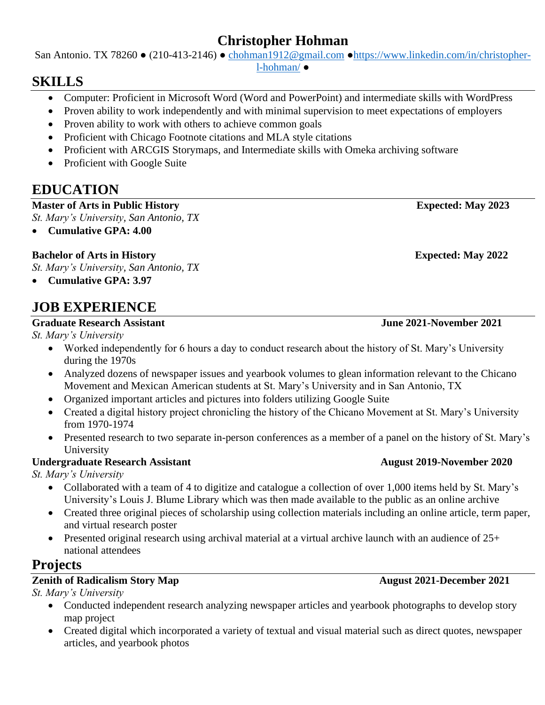## **Christopher Hohman**

San Antonio. TX 78260 ● (210-413-2146) ● [chohman1912@gmail.com](mailto:chohman1912@gmail.com) [●https://www.linkedin.com/in/christopher-](https://www.linkedin.com/in/christopher-l-hohman/)

[l-hohman/](https://www.linkedin.com/in/christopher-l-hohman/) ●

## **SKILLS**

- Computer: Proficient in Microsoft Word (Word and PowerPoint) and intermediate skills with WordPress
- Proven ability to work independently and with minimal supervision to meet expectations of employers
- Proven ability to work with others to achieve common goals
- Proficient with Chicago Footnote citations and MLA style citations
- Proficient with ARCGIS Storymaps, and Intermediate skills with Omeka archiving software
- Proficient with Google Suite

# **EDUCATION**

**Master of Arts in Public History Expected: May 2023**

*St. Mary's University, San Antonio, TX*

• **Cumulative GPA: 4.00**

## **Bachelor of Arts in History Expected: May 2022**

*St. Mary's University, San Antonio, TX*

• **Cumulative GPA: 3.97**

# **JOB EXPERIENCE**

### **Graduate Research Assistant June 2021-November 2021**

*St. Mary's University*

- Worked independently for 6 hours a day to conduct research about the history of St. Mary's University during the 1970s
- Analyzed dozens of newspaper issues and yearbook volumes to glean information relevant to the Chicano Movement and Mexican American students at St. Mary's University and in San Antonio, TX
- Organized important articles and pictures into folders utilizing Google Suite
- Created a digital history project chronicling the history of the Chicano Movement at St. Mary's University from 1970-1974
- Presented research to two separate in-person conferences as a member of a panel on the history of St. Mary's University

## **Undergraduate Research Assistant August 2019-November 2020**

*St. Mary's University*

- Collaborated with a team of 4 to digitize and catalogue a collection of over 1,000 items held by St. Mary's University's Louis J. Blume Library which was then made available to the public as an online archive
- Created three original pieces of scholarship using collection materials including an online article, term paper, and virtual research poster
- Presented original research using archival material at a virtual archive launch with an audience of  $25+$ national attendees

## **Projects**

## **Zenith of Radicalism Story Map** August 2021-December 2021

*St. Mary's University* 

- Conducted independent research analyzing newspaper articles and yearbook photographs to develop story map project
- Created digital which incorporated a variety of textual and visual material such as direct quotes, newspaper articles, and yearbook photos